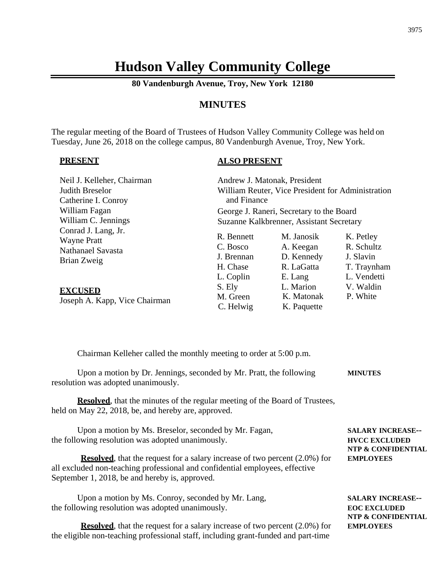# **Hudson Valley Community College**

**80 Vandenburgh Avenue, Troy, New York 12180**

#### **MINUTES**

The regular meeting of the Board of Trustees of Hudson Valley Community College was held on Tuesday, June 26, 2018 on the college campus, 80 Vandenburgh Avenue, Troy, New York.

#### **PRESENT**

#### **ALSO PRESENT**

| Neil J. Kelleher, Chairman                                                    | Andrew J. Matonak, President                                  |                                                                |                                                                    |
|-------------------------------------------------------------------------------|---------------------------------------------------------------|----------------------------------------------------------------|--------------------------------------------------------------------|
| Judith Breselor                                                               | William Reuter, Vice President for Administration             |                                                                |                                                                    |
| Catherine I. Conroy                                                           | and Finance                                                   |                                                                |                                                                    |
| William Fagan                                                                 | George J. Raneri, Secretary to the Board                      |                                                                |                                                                    |
| William C. Jennings                                                           | Suzanne Kalkbrenner, Assistant Secretary                      |                                                                |                                                                    |
| Conrad J. Lang, Jr.<br><b>Wayne Pratt</b><br>Nathanael Savasta<br>Brian Zweig | R. Bennett<br>C. Bosco<br>J. Brennan<br>H. Chase<br>L. Coplin | M. Janosik<br>A. Keegan<br>D. Kennedy<br>R. LaGatta<br>E. Lang | K. Petley<br>R. Schultz<br>J. Slavin<br>T. Traynham<br>L. Vendetti |
| <b>EXCUSED</b><br>Joseph A. Kapp, Vice Chairman                               | S. Ely<br>M. Green<br>C. Helwig                               | L. Marion<br>K. Matonak<br>K. Paquette                         | V. Waldin<br>P. White                                              |

Chairman Kelleher called the monthly meeting to order at 5:00 p.m.

| Upon a motion by Dr. Jennings, seconded by Mr. Pratt, the following | <b>MINUTES</b> |
|---------------------------------------------------------------------|----------------|
| resolution was adopted unanimously.                                 |                |

**Resolved**, that the minutes of the regular meeting of the Board of Trustees, held on May 22, 2018, be, and hereby are, approved.

| Upon a motion by Ms. Breselor, seconded by Mr. Fagan, | <b>SALARY INCREASE--</b> |
|-------------------------------------------------------|--------------------------|
| the following resolution was adopted unanimously.     | <b>HVCC EXCLUDED</b>     |
|                                                       | MED A COMPUNISHEL        |

**Resolved**, that the request for a salary increase of two percent (2.0%) for **EMPLOYEES** all excluded non-teaching professional and confidential employees, effective September 1, 2018, be and hereby is, approved.

Upon a motion by Ms. Conroy, seconded by Mr. Lang, **SALARY INCREASE-**the following resolution was adopted unanimously. **EOC EXCLUDED**

**Resolved**, that the request for a salary increase of two percent (2.0%) for **EMPLOYEES** the eligible non-teaching professional staff, including grant-funded and part-time

**NTP & CONFIDENTIAL**

**NTP & CONFIDENTIAL**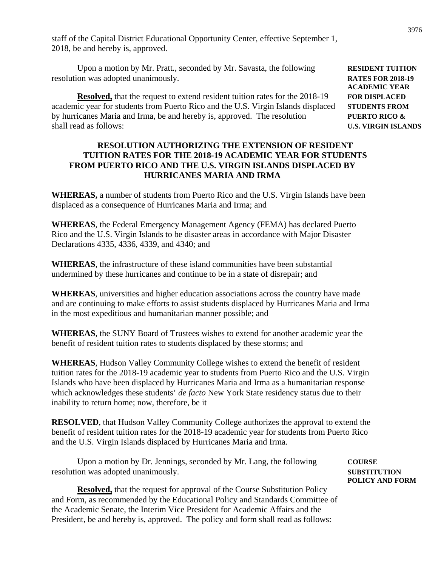staff of the Capital District Educational Opportunity Center, effective September 1, 2018, be and hereby is, approved.

Upon a motion by Mr. Pratt., seconded by Mr. Savasta, the following **RESIDENT TUITION** resolution was adopted unanimously. **RATES FOR 2018-19**

**Resolved,** that the request to extend resident tuition rates for the 2018-19 **FOR DISPLACED** academic year for students from Puerto Rico and the U.S. Virgin Islands displaced **STUDENTS FROM** by hurricanes Maria and Irma, be and hereby is, approved. The resolution **PUERTO RICO &** shall read as follows: **U.S. VIRGIN ISLANDS**

#### **RESOLUTION AUTHORIZING THE EXTENSION OF RESIDENT TUITION RATES FOR THE 2018-19 ACADEMIC YEAR FOR STUDENTS FROM PUERTO RICO AND THE U.S. VIRGIN ISLANDS DISPLACED BY HURRICANES MARIA AND IRMA**

**WHEREAS,** a number of students from Puerto Rico and the U.S. Virgin Islands have been displaced as a consequence of Hurricanes Maria and Irma; and

**WHEREAS**, the Federal Emergency Management Agency (FEMA) has declared Puerto Rico and the U.S. Virgin Islands to be disaster areas in accordance with Major Disaster Declarations 4335, 4336, 4339, and 4340; and

**WHEREAS**, the infrastructure of these island communities have been substantial undermined by these hurricanes and continue to be in a state of disrepair; and

**WHEREAS**, universities and higher education associations across the country have made and are continuing to make efforts to assist students displaced by Hurricanes Maria and Irma in the most expeditious and humanitarian manner possible; and

**WHEREAS**, the SUNY Board of Trustees wishes to extend for another academic year the benefit of resident tuition rates to students displaced by these storms; and

**WHEREAS**, Hudson Valley Community College wishes to extend the benefit of resident tuition rates for the 2018-19 academic year to students from Puerto Rico and the U.S. Virgin Islands who have been displaced by Hurricanes Maria and Irma as a humanitarian response which acknowledges these students' *de facto* New York State residency status due to their inability to return home; now, therefore, be it

**RESOLVED**, that Hudson Valley Community College authorizes the approval to extend the benefit of resident tuition rates for the 2018-19 academic year for students from Puerto Rico and the U.S. Virgin Islands displaced by Hurricanes Maria and Irma.

Upon a motion by Dr. Jennings, seconded by Mr. Lang, the following **COURSE** resolution was adopted unanimously. **SUBSTITUTION**

**Resolved,** that the request for approval of the Course Substitution Policy and Form, as recommended by the Educational Policy and Standards Committee of the Academic Senate, the Interim Vice President for Academic Affairs and the President, be and hereby is, approved. The policy and form shall read as follows:

**ACADEMIC YEAR**

**POLICY AND FORM**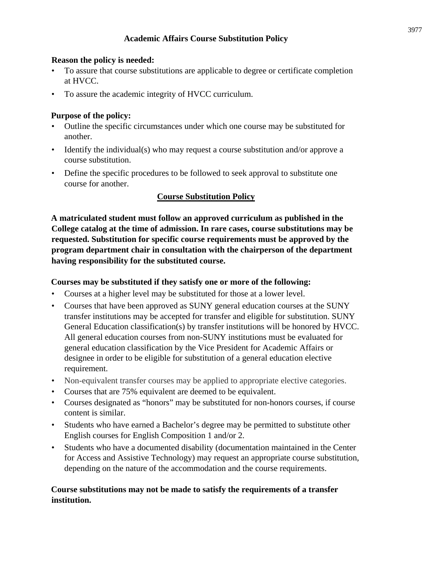#### **Academic Affairs Course Substitution Policy**

#### **Reason the policy is needed:**

- To assure that course substitutions are applicable to degree or certificate completion at HVCC.
- To assure the academic integrity of HVCC curriculum.

# **Purpose of the policy:**

- Outline the specific circumstances under which one course may be substituted for another.
- Identify the individual(s) who may request a course substitution and/or approve a course substitution.
- Define the specific procedures to be followed to seek approval to substitute one course for another.

# **Course Substitution Policy**

**A matriculated student must follow an approved curriculum as published in the College catalog at the time of admission. In rare cases, course substitutions may be requested. Substitution for specific course requirements must be approved by the program department chair in consultation with the chairperson of the department having responsibility for the substituted course.**

#### **Courses may be substituted if they satisfy one or more of the following:**

- Courses at a higher level may be substituted for those at a lower level.
- Courses that have been approved as SUNY general education courses at the SUNY transfer institutions may be accepted for transfer and eligible for substitution. SUNY General Education classification(s) by transfer institutions will be honored by HVCC. All general education courses from non-SUNY institutions must be evaluated for general education classification by the Vice President for Academic Affairs or designee in order to be eligible for substitution of a general education elective requirement.
- Non-equivalent transfer courses may be applied to appropriate elective categories.
- Courses that are 75% equivalent are deemed to be equivalent.
- Courses designated as "honors" may be substituted for non-honors courses, if course content is similar.
- Students who have earned a Bachelor's degree may be permitted to substitute other English courses for English Composition 1 and/or 2.
- Students who have a documented disability (documentation maintained in the Center for Access and Assistive Technology) may request an appropriate course substitution, depending on the nature of the accommodation and the course requirements.

# **Course substitutions may not be made to satisfy the requirements of a transfer institution.**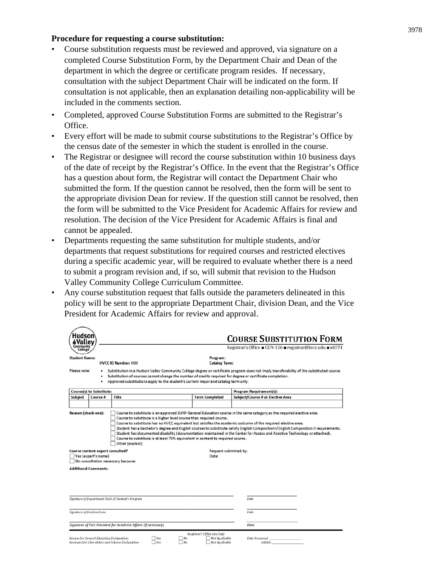#### **Procedure for requesting a course substitution:**

- Course substitution requests must be reviewed and approved, via signature on a completed Course Substitution Form, by the Department Chair and Dean of the department in which the degree or certificate program resides. If necessary, consultation with the subject Department Chair will be indicated on the form. If consultation is not applicable, then an explanation detailing non-applicability will be included in the comments section.
- Completed, approved Course Substitution Forms are submitted to the Registrar's Office.
- Every effort will be made to submit course substitutions to the Registrar's Office by the census date of the semester in which the student is enrolled in the course.
- The Registrar or designee will record the course substitution within 10 business days of the date of receipt by the Registrar's Office. In the event that the Registrar's Office has a question about form, the Registrar will contact the Department Chair who submitted the form. If the question cannot be resolved, then the form will be sent to the appropriate division Dean for review. If the question still cannot be resolved, then the form will be submitted to the Vice President for Academic Affairs for review and resolution. The decision of the Vice President for Academic Affairs is final and cannot be appealed.
- Departments requesting the same substitution for multiple students, and/or departments that request substitutions for required courses and restricted electives during a specific academic year, will be required to evaluate whether there is a need to submit a program revision and, if so, will submit that revision to the Hudson Valley Community College Curriculum Committee.
- Any course substitution request that falls outside the parameters delineated in this policy will be sent to the appropriate Department Chair, division Dean, and the Vice President for Academic Affairs for review and approval.

| Hudson                                                                                                                                                                                                                                                                                                                          |                                           |                                                                 |                                                                                    |                                                                 | <b>COURSE SUBSTITUTION FORM</b>                                                                                                                                                                                                                         |
|---------------------------------------------------------------------------------------------------------------------------------------------------------------------------------------------------------------------------------------------------------------------------------------------------------------------------------|-------------------------------------------|-----------------------------------------------------------------|------------------------------------------------------------------------------------|-----------------------------------------------------------------|---------------------------------------------------------------------------------------------------------------------------------------------------------------------------------------------------------------------------------------------------------|
| Community<br>College                                                                                                                                                                                                                                                                                                            |                                           |                                                                 |                                                                                    |                                                                 | Registrar's Office ■ GUN 136 ■ registrar@hvcc.edu ■ x4574                                                                                                                                                                                               |
| <b>Student Name:</b>                                                                                                                                                                                                                                                                                                            |                                           | HVCC ID Number: H00                                             |                                                                                    | Program:<br><b>Catalog Term:</b>                                |                                                                                                                                                                                                                                                         |
| Please note:                                                                                                                                                                                                                                                                                                                    | ٠<br>٠                                    |                                                                 | Approved substitutions apply to the student's current major and catalog term only. |                                                                 | Substitution in a Hudson Valley Community College degree or certificate program does not imply transferability of the substituted course.<br>Substitution of courses cannot change the number of credits required for degree or certificate completion. |
|                                                                                                                                                                                                                                                                                                                                 | Course(s) to Substitute:                  |                                                                 |                                                                                    |                                                                 | Program Requirement(s):                                                                                                                                                                                                                                 |
| Subject                                                                                                                                                                                                                                                                                                                         | Course #                                  | Title                                                           |                                                                                    | <b>Term Completed</b>                                           | Subject/Course # or Elective Area                                                                                                                                                                                                                       |
|                                                                                                                                                                                                                                                                                                                                 |                                           |                                                                 |                                                                                    |                                                                 |                                                                                                                                                                                                                                                         |
| Student has documented disability (documentation maintained in the Center for Access and Assistive Technology or attached).<br>Course to substitute is at least 75% equivalent in content to required course.<br>Other (explain):<br>Course content expert consulted?<br>Request submitted by:<br>Yes (expert's name):<br>Date: |                                           |                                                                 |                                                                                    |                                                                 |                                                                                                                                                                                                                                                         |
| No consultation necessary because:<br><b>Additional Comments:</b>                                                                                                                                                                                                                                                               |                                           |                                                                 |                                                                                    |                                                                 |                                                                                                                                                                                                                                                         |
|                                                                                                                                                                                                                                                                                                                                 |                                           |                                                                 |                                                                                    |                                                                 |                                                                                                                                                                                                                                                         |
| Signature of Department Chair of Student's Program                                                                                                                                                                                                                                                                              |                                           | Date                                                            |                                                                                    |                                                                 |                                                                                                                                                                                                                                                         |
| Signature of Division Dean                                                                                                                                                                                                                                                                                                      |                                           |                                                                 |                                                                                    |                                                                 | Date                                                                                                                                                                                                                                                    |
|                                                                                                                                                                                                                                                                                                                                 |                                           | Signature of Vice President for Academic Affairs (if necessary) |                                                                                    |                                                                 | Date                                                                                                                                                                                                                                                    |
|                                                                                                                                                                                                                                                                                                                                 | Review for General Education Designation: | Reviewed for Liberal Arts and Science Designation:              | $\neg$ No<br>Yes<br>Yes:<br>NQ                                                     | Registrar's Office Use Only<br>Not Applicable<br>Not Applicable | <b>Date Processed</b><br>Initials                                                                                                                                                                                                                       |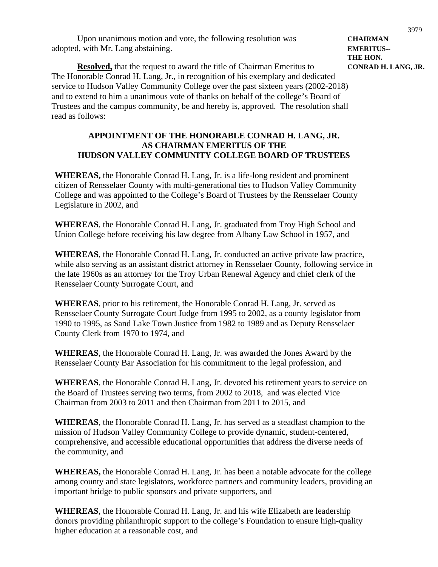Upon unanimous motion and vote, the following resolution was **CHAIRMAN** adopted, with Mr. Lang abstaining. **EMERITUS--**

**THE HON. Resolved,** that the request to award the title of Chairman Emeritus to **CONRAD H. LANG, JR.** The Honorable Conrad H. Lang, Jr., in recognition of his exemplary and dedicated service to Hudson Valley Community College over the past sixteen years (2002-2018) and to extend to him a unanimous vote of thanks on behalf of the college's Board of Trustees and the campus community, be and hereby is, approved. The resolution shall read as follows:

# **APPOINTMENT OF THE HONORABLE CONRAD H. LANG, JR. AS CHAIRMAN EMERITUS OF THE HUDSON VALLEY COMMUNITY COLLEGE BOARD OF TRUSTEES**

**WHEREAS,** the Honorable Conrad H. Lang, Jr. is a life-long resident and prominent citizen of Rensselaer County with multi-generational ties to Hudson Valley Community College and was appointed to the College's Board of Trustees by the Rensselaer County Legislature in 2002, and

**WHEREAS**, the Honorable Conrad H. Lang, Jr. graduated from Troy High School and Union College before receiving his law degree from Albany Law School in 1957, and

**WHEREAS**, the Honorable Conrad H. Lang, Jr. conducted an active private law practice, while also serving as an assistant district attorney in Rensselaer County, following service in the late 1960s as an attorney for the Troy Urban Renewal Agency and chief clerk of the Rensselaer County Surrogate Court, and

**WHEREAS**, prior to his retirement, the Honorable Conrad H. Lang, Jr. served as Rensselaer County Surrogate Court Judge from 1995 to 2002, as a county legislator from 1990 to 1995, as Sand Lake Town Justice from 1982 to 1989 and as Deputy Rensselaer County Clerk from 1970 to 1974, and

**WHEREAS**, the Honorable Conrad H. Lang, Jr. was awarded the Jones Award by the Rensselaer County Bar Association for his commitment to the legal profession, and

**WHEREAS**, the Honorable Conrad H. Lang, Jr. devoted his retirement years to service on the Board of Trustees serving two terms, from 2002 to 2018, and was elected Vice Chairman from 2003 to 2011 and then Chairman from 2011 to 2015, and

**WHEREAS**, the Honorable Conrad H. Lang, Jr. has served as a steadfast champion to the mission of Hudson Valley Community College to provide dynamic, student-centered, comprehensive, and accessible educational opportunities that address the diverse needs of the community, and

**WHEREAS,** the Honorable Conrad H. Lang, Jr. has been a notable advocate for the college among county and state legislators, workforce partners and community leaders, providing an important bridge to public sponsors and private supporters, and

**WHEREAS**, the Honorable Conrad H. Lang, Jr. and his wife Elizabeth are leadership donors providing philanthropic support to the college's Foundation to ensure high-quality higher education at a reasonable cost, and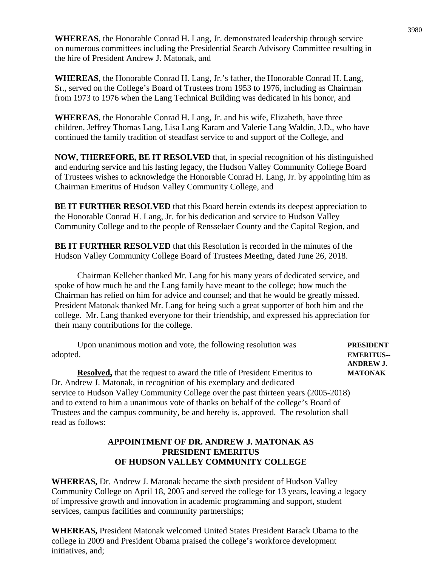**WHEREAS**, the Honorable Conrad H. Lang, Jr. demonstrated leadership through service on numerous committees including the Presidential Search Advisory Committee resulting in the hire of President Andrew J. Matonak, and

**WHEREAS**, the Honorable Conrad H. Lang, Jr.'s father, the Honorable Conrad H. Lang, Sr., served on the College's Board of Trustees from 1953 to 1976, including as Chairman from 1973 to 1976 when the Lang Technical Building was dedicated in his honor, and

**WHEREAS**, the Honorable Conrad H. Lang, Jr. and his wife, Elizabeth, have three children, Jeffrey Thomas Lang, Lisa Lang Karam and Valerie Lang Waldin, J.D., who have continued the family tradition of steadfast service to and support of the College, and

**NOW, THEREFORE, BE IT RESOLVED** that, in special recognition of his distinguished and enduring service and his lasting legacy, the Hudson Valley Community College Board of Trustees wishes to acknowledge the Honorable Conrad H. Lang, Jr. by appointing him as Chairman Emeritus of Hudson Valley Community College, and

**BE IT FURTHER RESOLVED** that this Board herein extends its deepest appreciation to the Honorable Conrad H. Lang, Jr. for his dedication and service to Hudson Valley Community College and to the people of Rensselaer County and the Capital Region, and

**BE IT FURTHER RESOLVED** that this Resolution is recorded in the minutes of the Hudson Valley Community College Board of Trustees Meeting, dated June 26, 2018.

Chairman Kelleher thanked Mr. Lang for his many years of dedicated service, and spoke of how much he and the Lang family have meant to the college; how much the Chairman has relied on him for advice and counsel; and that he would be greatly missed. President Matonak thanked Mr. Lang for being such a great supporter of both him and the college. Mr. Lang thanked everyone for their friendship, and expressed his appreciation for their many contributions for the college.

Upon unanimous motion and vote, the following resolution was **PRESIDENT** adopted. **EMERITUS-- ANDREW J. Resolved,** that the request to award the title of President Emeritus to **MATONAK** Dr. Andrew J. Matonak, in recognition of his exemplary and dedicated service to Hudson Valley Community College over the past thirteen years (2005-2018) and to extend to him a unanimous vote of thanks on behalf of the college's Board of Trustees and the campus community, be and hereby is, approved. The resolution shall

#### **APPOINTMENT OF DR. ANDREW J. MATONAK AS PRESIDENT EMERITUS OF HUDSON VALLEY COMMUNITY COLLEGE**

read as follows:

**WHEREAS,** Dr. Andrew J. Matonak became the sixth president of Hudson Valley Community College on April 18, 2005 and served the college for 13 years, leaving a legacy of impressive growth and innovation in academic programming and support, student services, campus facilities and community partnerships;

**WHEREAS,** President Matonak welcomed United States President Barack Obama to the college in 2009 and President Obama praised the college's workforce development initiatives, and;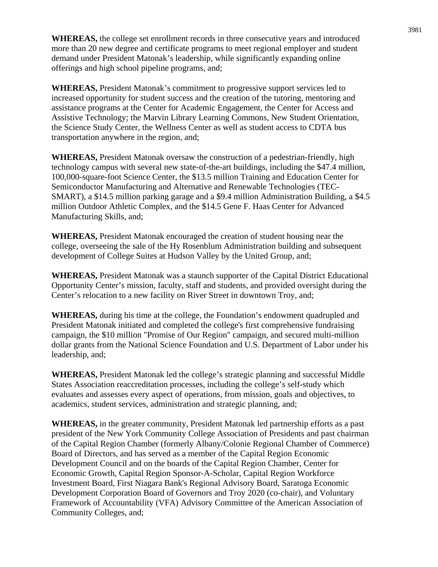**WHEREAS,** the college set enrollment records in three consecutive years and introduced more than 20 new degree and certificate programs to meet regional employer and student demand under President Matonak's leadership, while significantly expanding online offerings and high school pipeline programs, and;

**WHEREAS,** President Matonak's commitment to progressive support services led to increased opportunity for student success and the creation of the tutoring, mentoring and assistance programs at the Center for Academic Engagement, the Center for Access and Assistive Technology; the Marvin Library Learning Commons, New Student Orientation, the Science Study Center, the Wellness Center as well as student access to CDTA bus transportation anywhere in the region, and;

**WHEREAS,** President Matonak oversaw the construction of a pedestrian-friendly, high technology campus with several new state-of-the-art buildings, including the \$47.4 million, 100,000-square-foot Science Center, the \$13.5 million Training and Education Center for Semiconductor Manufacturing and Alternative and Renewable Technologies (TEC-SMART), a \$14.5 million parking garage and a \$9.4 million Administration Building, a \$4.5 million Outdoor Athletic Complex, and the \$14.5 Gene F. Haas Center for Advanced Manufacturing Skills, and;

**WHEREAS,** President Matonak encouraged the creation of student housing near the college, overseeing the sale of the Hy Rosenblum Administration building and subsequent development of College Suites at Hudson Valley by the United Group, and;

**WHEREAS,** President Matonak was a staunch supporter of the Capital District Educational Opportunity Center's mission, faculty, staff and students, and provided oversight during the Center's relocation to a new facility on River Street in downtown Troy, and;

**WHEREAS,** during his time at the college, the Foundation's endowment quadrupled and President Matonak initiated and completed the college's first comprehensive fundraising campaign, the \$10 million "Promise of Our Region" campaign, and secured multi-million dollar grants from the National Science Foundation and U.S. Department of Labor under his leadership, and;

**WHEREAS,** President Matonak led the college's strategic planning and successful Middle States Association reaccreditation processes, including the college's self-study which evaluates and assesses every aspect of operations, from mission, goals and objectives, to academics, student services, administration and strategic planning, and;

**WHEREAS,** in the greater community, President Matonak led partnership efforts as a past president of the New York Community College Association of Presidents and past chairman of the Capital Region Chamber (formerly Albany/Colonie Regional Chamber of Commerce) Board of Directors, and has served as a member of the Capital Region Economic Development Council and on the boards of the Capital Region Chamber, Center for Economic Growth, Capital Region Sponsor-A-Scholar, Capital Region Workforce Investment Board, First Niagara Bank's Regional Advisory Board, Saratoga Economic Development Corporation Board of Governors and Troy 2020 (co-chair), and Voluntary Framework of Accountability (VFA) Advisory Committee of the American Association of Community Colleges, and;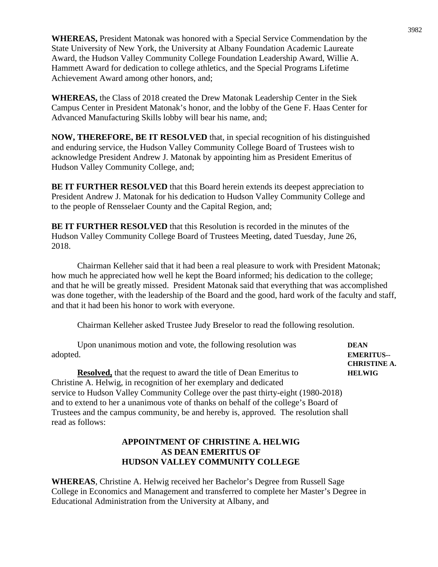**WHEREAS,** President Matonak was honored with a Special Service Commendation by the State University of New York, the University at Albany Foundation Academic Laureate Award, the Hudson Valley Community College Foundation Leadership Award, Willie A. Hammett Award for dedication to college athletics, and the Special Programs Lifetime Achievement Award among other honors, and;

**WHEREAS,** the Class of 2018 created the Drew Matonak Leadership Center in the Siek Campus Center in President Matonak's honor, and the lobby of the Gene F. Haas Center for Advanced Manufacturing Skills lobby will bear his name, and;

**NOW, THEREFORE, BE IT RESOLVED** that, in special recognition of his distinguished and enduring service, the Hudson Valley Community College Board of Trustees wish to acknowledge President Andrew J. Matonak by appointing him as President Emeritus of Hudson Valley Community College, and;

**BE IT FURTHER RESOLVED** that this Board herein extends its deepest appreciation to President Andrew J. Matonak for his dedication to Hudson Valley Community College and to the people of Rensselaer County and the Capital Region, and;

**BE IT FURTHER RESOLVED** that this Resolution is recorded in the minutes of the Hudson Valley Community College Board of Trustees Meeting, dated Tuesday, June 26, 2018.

Chairman Kelleher said that it had been a real pleasure to work with President Matonak; how much he appreciated how well he kept the Board informed; his dedication to the college; and that he will be greatly missed. President Matonak said that everything that was accomplished was done together, with the leadership of the Board and the good, hard work of the faculty and staff, and that it had been his honor to work with everyone.

Chairman Kelleher asked Trustee Judy Breselor to read the following resolution.

| Upon unanimous motion and vote, the following resolution was                        | <b>DEAN</b>         |
|-------------------------------------------------------------------------------------|---------------------|
| adopted.                                                                            | <b>EMERITUS--</b>   |
|                                                                                     | <b>CHRISTINE A.</b> |
| <b>Resolved,</b> that the request to award the title of Dean Emeritus to            | <b>HELWIG</b>       |
| Christine A. Helwig, in recognition of her exemplary and dedicated                  |                     |
| service to Hudson Valley Community College over the past thirty-eight (1980-2018)   |                     |
| and to extend to her a unanimous vote of thanks on behalf of the college's Board of |                     |
| Trustees and the campus community, be and hereby is, approved. The resolution shall |                     |
| read as follows:                                                                    |                     |

# **APPOINTMENT OF CHRISTINE A. HELWIG AS DEAN EMERITUS OF HUDSON VALLEY COMMUNITY COLLEGE**

**WHEREAS**, Christine A. Helwig received her Bachelor's Degree from Russell Sage College in Economics and Management and transferred to complete her Master's Degree in Educational Administration from the University at Albany, and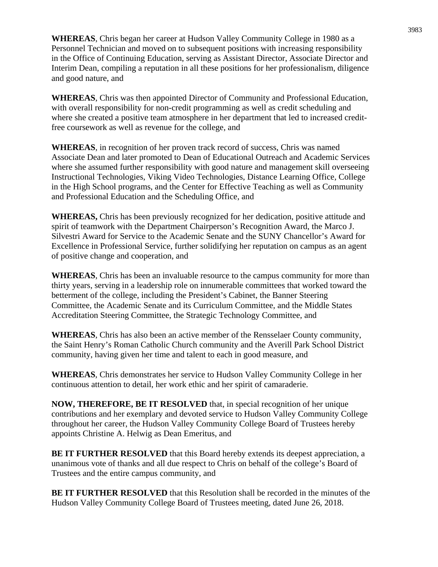**WHEREAS**, Chris began her career at Hudson Valley Community College in 1980 as a Personnel Technician and moved on to subsequent positions with increasing responsibility in the Office of Continuing Education, serving as Assistant Director, Associate Director and Interim Dean, compiling a reputation in all these positions for her professionalism, diligence and good nature, and

**WHEREAS**, Chris was then appointed Director of Community and Professional Education, with overall responsibility for non-credit programming as well as credit scheduling and where she created a positive team atmosphere in her department that led to increased creditfree coursework as well as revenue for the college, and

**WHEREAS**, in recognition of her proven track record of success, Chris was named Associate Dean and later promoted to Dean of Educational Outreach and Academic Services where she assumed further responsibility with good nature and management skill overseeing Instructional Technologies, Viking Video Technologies, Distance Learning Office, College in the High School programs, and the Center for Effective Teaching as well as Community and Professional Education and the Scheduling Office, and

**WHEREAS,** Chris has been previously recognized for her dedication, positive attitude and spirit of teamwork with the Department Chairperson's Recognition Award, the Marco J. Silvestri Award for Service to the Academic Senate and the SUNY Chancellor's Award for Excellence in Professional Service, further solidifying her reputation on campus as an agent of positive change and cooperation, and

**WHEREAS**, Chris has been an invaluable resource to the campus community for more than thirty years, serving in a leadership role on innumerable committees that worked toward the betterment of the college, including the President's Cabinet, the Banner Steering Committee, the Academic Senate and its Curriculum Committee, and the Middle States Accreditation Steering Committee, the Strategic Technology Committee, and

**WHEREAS**, Chris has also been an active member of the Rensselaer County community, the Saint Henry's Roman Catholic Church community and the Averill Park School District community, having given her time and talent to each in good measure, and

**WHEREAS**, Chris demonstrates her service to Hudson Valley Community College in her continuous attention to detail, her work ethic and her spirit of camaraderie.

**NOW, THEREFORE, BE IT RESOLVED** that, in special recognition of her unique contributions and her exemplary and devoted service to Hudson Valley Community College throughout her career, the Hudson Valley Community College Board of Trustees hereby appoints Christine A. Helwig as Dean Emeritus, and

**BE IT FURTHER RESOLVED** that this Board hereby extends its deepest appreciation, a unanimous vote of thanks and all due respect to Chris on behalf of the college's Board of Trustees and the entire campus community, and

**BE IT FURTHER RESOLVED** that this Resolution shall be recorded in the minutes of the Hudson Valley Community College Board of Trustees meeting, dated June 26, 2018.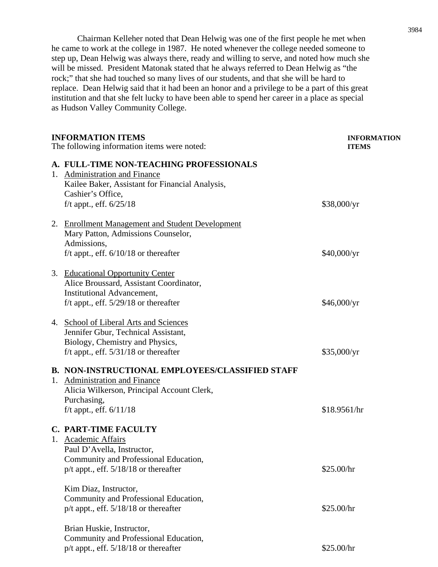Chairman Kelleher noted that Dean Helwig was one of the first people he met when he came to work at the college in 1987. He noted whenever the college needed someone to step up, Dean Helwig was always there, ready and willing to serve, and noted how much she will be missed. President Matonak stated that he always referred to Dean Helwig as "the rock;" that she had touched so many lives of our students, and that she will be hard to replace. Dean Helwig said that it had been an honor and a privilege to be a part of this great institution and that she felt lucky to have been able to spend her career in a place as special as Hudson Valley Community College.

|    | <b>INFORMATION ITEMS</b><br>The following information items were noted:                                                                                                           | <b>INFORMATION</b><br><b>ITEMS</b> |  |
|----|-----------------------------------------------------------------------------------------------------------------------------------------------------------------------------------|------------------------------------|--|
|    | A. FULL-TIME NON-TEACHING PROFESSIONALS<br>1. Administration and Finance<br>Kailee Baker, Assistant for Financial Analysis,<br>Cashier's Office,<br>f/t appt., eff. $6/25/18$     | \$38,000/yr                        |  |
|    | 2. Enrollment Management and Student Development<br>Mary Patton, Admissions Counselor,<br>Admissions,<br>f/t appt., eff. $6/10/18$ or thereafter                                  | \$40,000/yr                        |  |
|    | 3. Educational Opportunity Center<br>Alice Broussard, Assistant Coordinator,<br><b>Institutional Advancement,</b><br>f/t appt., eff. $5/29/18$ or thereafter                      | \$46,000/yr                        |  |
|    | 4. School of Liberal Arts and Sciences<br>Jennifer Gbur, Technical Assistant,<br>Biology, Chemistry and Physics,<br>f/t appt., eff. $5/31/18$ or thereafter                       | \$35,000/yr                        |  |
|    | <b>B. NON-INSTRUCTIONAL EMPLOYEES/CLASSIFIED STAFF</b><br>1. Administration and Finance<br>Alicia Wilkerson, Principal Account Clerk,<br>Purchasing,<br>f/t appt., eff. $6/11/18$ | \$18.9561/hr                       |  |
| 1. | <b>C. PART-TIME FACULTY</b><br>Academic Affairs<br>Paul D'Avella, Instructor,<br>Community and Professional Education,<br>$p/t$ appt., eff. $5/18/18$ or thereafter               | \$25.00/hr                         |  |
|    | Kim Diaz, Instructor,<br>Community and Professional Education,<br>$p/t$ appt., eff. $5/18/18$ or thereafter                                                                       | \$25.00/hr                         |  |
|    | Brian Huskie, Instructor,<br>Community and Professional Education,<br>$p/t$ appt., eff. $5/18/18$ or thereafter                                                                   | \$25.00/hr                         |  |
|    |                                                                                                                                                                                   |                                    |  |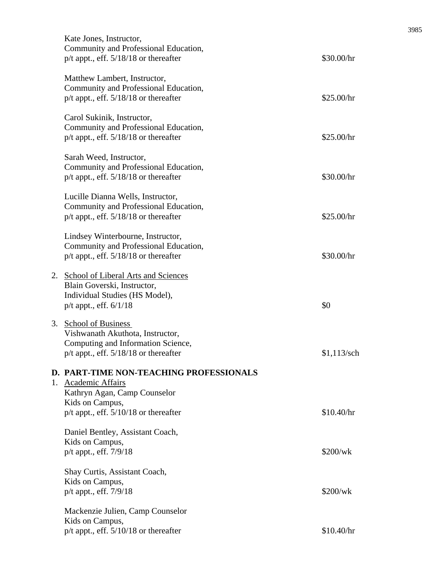|    | Kate Jones, Instructor,<br>Community and Professional Education,<br>p/t appt., eff. 5/18/18 or thereafter                                                             | \$30.00/hr    |
|----|-----------------------------------------------------------------------------------------------------------------------------------------------------------------------|---------------|
|    | Matthew Lambert, Instructor,<br>Community and Professional Education,<br>$p/t$ appt., eff. $5/18/18$ or thereafter                                                    | \$25.00/hr    |
|    | Carol Sukinik, Instructor,<br>Community and Professional Education,<br>$p/t$ appt., eff. $5/18/18$ or thereafter                                                      | \$25.00/hr    |
|    | Sarah Weed, Instructor,<br>Community and Professional Education,<br>$p/t$ appt., eff. $5/18/18$ or thereafter                                                         | \$30.00/hr    |
|    | Lucille Dianna Wells, Instructor,<br>Community and Professional Education,<br>$p/t$ appt., eff. $5/18/18$ or thereafter                                               | \$25.00/hr    |
|    | Lindsey Winterbourne, Instructor,<br>Community and Professional Education,<br>$p/t$ appt., eff. $5/18/18$ or thereafter                                               | \$30.00/hr    |
| 2. | <b>School of Liberal Arts and Sciences</b><br>Blain Goverski, Instructor,<br>Individual Studies (HS Model),<br>p/t appt., eff. 6/1/18                                 | \$0           |
| 3. | <b>School of Business</b><br>Vishwanath Akuthota, Instructor,<br>Computing and Information Science,<br>p/t appt., eff. 5/18/18 or thereafter                          | $$1,113$ /sch |
|    | <b>D. PART-TIME NON-TEACHING PROFESSIONALS</b><br>1. Academic Affairs<br>Kathryn Agan, Camp Counselor<br>Kids on Campus,<br>$p/t$ appt., eff. $5/10/18$ or thereafter | \$10.40/hr    |
|    | Daniel Bentley, Assistant Coach,<br>Kids on Campus,<br>$p/t$ appt., eff. $7/9/18$                                                                                     | \$200/wk      |
|    | Shay Curtis, Assistant Coach,<br>Kids on Campus,<br>p/t appt., eff. 7/9/18                                                                                            | \$200/wk      |
|    | Mackenzie Julien, Camp Counselor<br>Kids on Campus,<br>p/t appt., eff. 5/10/18 or thereafter                                                                          | \$10.40/hr    |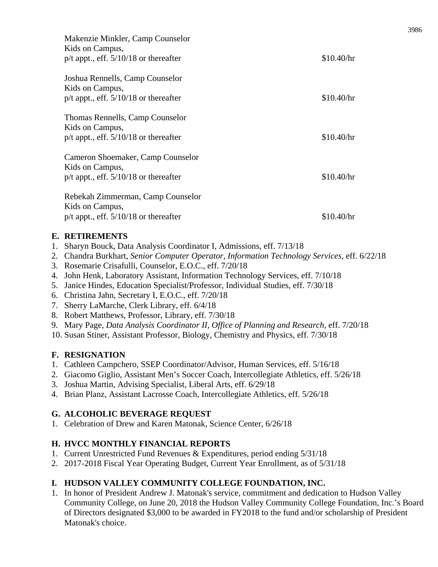| Makenzie Minkler, Camp Counselor<br>Kids on Campus,<br>$p/t$ appt., eff. $5/10/18$ or thereafter  | \$10.40/hr |
|---------------------------------------------------------------------------------------------------|------------|
| Joshua Rennells, Camp Counselor<br>Kids on Campus,<br>$p/t$ appt., eff. $5/10/18$ or thereafter   | \$10.40/hr |
| Thomas Rennells, Camp Counselor<br>Kids on Campus,<br>$p/t$ appt., eff. $5/10/18$ or thereafter   | \$10.40/hr |
| Cameron Shoemaker, Camp Counselor<br>Kids on Campus,<br>$p/t$ appt., eff. $5/10/18$ or thereafter | \$10.40/hr |
| Rebekah Zimmerman, Camp Counselor<br>Kids on Campus,<br>$p/t$ appt., eff. $5/10/18$ or thereafter | \$10.40/hr |

# **E. RETIREMENTS**

- 1. Sharyn Bouck, Data Analysis Coordinator I, Admissions, eff. 7/13/18
- 2. Chandra Burkhart, *Senior Computer Operator, Information Technology Services,* eff. 6/22/18
- 3. Rosemarie Crisafulli, Counselor, E.O.C., eff. 7/20/18
- 4. John Henk, Laboratory Assistant, Information Technology Services, eff. 7/10/18
- 5. Janice Hindes, Education Specialist/Professor, Individual Studies, eff. 7/30/18
- 6. Christina Jahn, Secretary I, E.O.C., eff. 7/20/18
- 7. Sherry LaMarche, Clerk Library, eff. 6/4/18
- 8. Robert Matthews, Professor, Library, eff. 7/30/18
- 9. Mary Page*, Data Analysis Coordinator II, Office of Planning and Research,* eff. 7/20/18
- 10. Susan Stiner, Assistant Professor, Biology, Chemistry and Physics, eff. 7/30/18

# **F. RESIGNATION**

- 1. Cathleen Campchero, SSEP Coordinator/Advisor, Human Services, eff. 5/16/18
- 2. Giacomo Giglio, Assistant Men's Soccer Coach, Intercollegiate Athletics, eff. 5/26/18
- 3. Joshua Martin, Advising Specialist, Liberal Arts, eff. 6/29/18
- 4. Brian Planz, Assistant Lacrosse Coach, Intercollegiate Athletics, eff. 5/26/18

# **G. ALCOHOLIC BEVERAGE REQUEST**

1. Celebration of Drew and Karen Matonak, Science Center, 6/26/18

# **H. HVCC MONTHLY FINANCIAL REPORTS**

- 1. Current Unrestricted Fund Revenues & Expenditures, period ending 5/31/18
- 2. 2017-2018 Fiscal Year Operating Budget, Current Year Enrollment, as of 5/31/18

# **I. HUDSON VALLEY COMMUNITY COLLEGE FOUNDATION, INC.**

1. In honor of President Andrew J. Matonak's service, commitment and dedication to Hudson Valley Community College, on June 20, 2018 the Hudson Valley Community College Foundation, Inc.'s Board of Directors designated \$3,000 to be awarded in FY2018 to the fund and/or scholarship of President Matonak's choice.